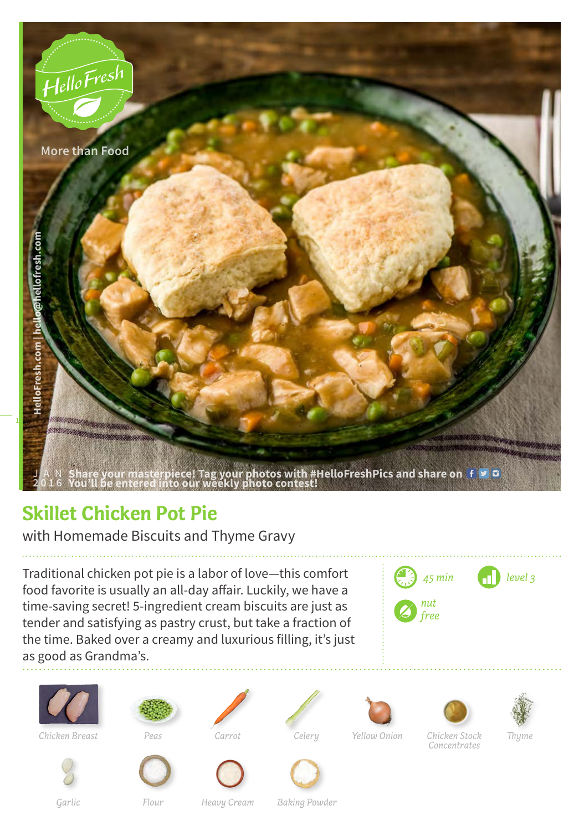

## **Skillet Chicken Pot Pie**

with Homemade Biscuits and Thyme Gravy

Traditional chicken pot pie is a labor of love—this comfort food favorite is usually an all-day affair. Luckily, we have a time-saving secret! 5-ingredient cream biscuits are just as tender and satisfying as pastry crust, but take a fraction of the time. Baked over a creamy and luxurious filling, it's just as good as Grandma's.













*Chicken Stock Concentrates Chicken Breast Peas Carrot Celery Yellow Onion Thyme*





*Garlic Flour Heavy Cream Baking Powder*